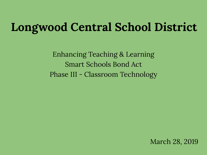### **Longwood Central School District**

Enhancing Teaching & Learning Smart Schools Bond Act Phase III - Classroom Technology

March 28, 2019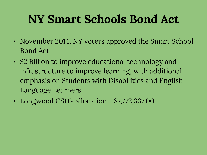### **NY Smart Schools Bond Act**

- November 2014, NY voters approved the Smart School Bond Act
- \$2 Billion to improve educational technology and infrastructure to improve learning, with additional emphasis on Students with Disabilities and English Language Learners.
- Longwood CSD's allocation \$7,772,337.00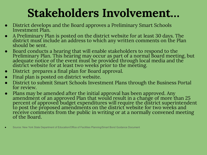### **Stakeholders Involvement…**

- District develops and the Board approves a Preliminary Smart Schools Investment Plan.
- A Preliminary Plan is posted on the district website for at least 30 days. The district must include an address to which any written comments on the Plan should be sent.
- Board conducts a hearing that will enable stakeholders to respond to the Preliminary Plan. This hearing may occur as part of a normal Board meeting, but adequate notice of the event must be provided through local media and the district website for at least two weeks prior to the meeting.
- District prepares a final plan for Board approval.
- Final plan is posted on district website.
- District to submit Smart Schools Investment Plans through the Business Portal for review.
- Plans may be amended after the initial approval has been approved. Any amendment of an approved Plan that would result in a change of more than 25 percent of approved budget expenditures will require the district superintendent to post the proposed amendments on the district website for two weeks and receive comments from the public in writing or at a normally convened meeting of the Board.

Source: New York State Department of Education/Office of Facilities Planning/Smart Bond Guidance Document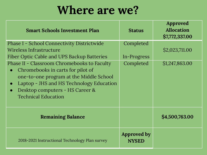#### **Where are we?**

| <b>Smart Schools Investment Plan</b>                                                                                                                                                                                                                  | <b>Status</b>               | Approved<br><b>Allocation</b><br>\$7,772,337.00 |
|-------------------------------------------------------------------------------------------------------------------------------------------------------------------------------------------------------------------------------------------------------|-----------------------------|-------------------------------------------------|
| <b>Phase I - School Connectivity Districtwide</b><br>Wireless Infrastructure<br>Fiber Optic Cable and UPS Backup Batteries                                                                                                                            | Completed<br>In-Progress    | \$2,023,711.00                                  |
| Phase II - Classroom Chromebooks to Faculty<br>Chromebooks in carts for pilot of<br>$\bullet$<br>one-to-one program at the Middle School<br>Laptop - JHS and HS Technology Education<br>Desktop computers - HS Career &<br><b>Technical Education</b> | Completed                   | \$1,247,863.00                                  |
| <b>Remaining Balance</b>                                                                                                                                                                                                                              |                             | \$4,500,763.00                                  |
| 2018-2021 Instructional Technology Plan survey                                                                                                                                                                                                        | Approved by<br><b>NYSED</b> |                                                 |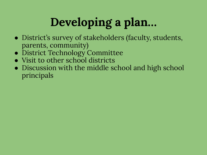# **Developing a plan…**

- District's survey of stakeholders (faculty, students, parents, community)
- District Technology Committee
- Visit to other school districts
- Discussion with the middle school and high school principals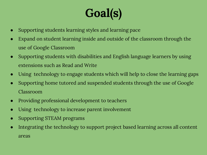# **Goal(s)**

- Supporting students learning styles and learning pace
- Expand on student learning inside and outside of the classroom through the use of Google Classroom
- Supporting students with disabilities and English language learners by using extensions such as Read and Write
- Using technology to engage students which will help to close the learning gaps
- Supporting home tutored and suspended students through the use of Google Classroom
- Providing professional development to teachers
- Using technology to increase parent involvement
- Supporting STEAM programs
- Integrating the technology to support project based learning across all content areas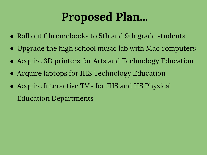#### **Proposed Plan...**

- Roll out Chromebooks to 5th and 9th grade students
- Upgrade the high school music lab with Mac computers
- Acquire 3D printers for Arts and Technology Education
- Acquire laptops for JHS Technology Education
- Acquire Interactive TV's for JHS and HS Physical Education Departments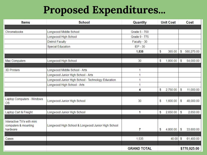#### **Proposed Expenditures...**

| <b>Items</b>                                       | <b>School</b><br>Quantity                          |                    | <b>Unit Cost</b> |          | Cost          |              |
|----------------------------------------------------|----------------------------------------------------|--------------------|------------------|----------|---------------|--------------|
|                                                    |                                                    |                    |                  |          |               |              |
| Chromebooks                                        | Longwood Middle School                             | Grade 5 - 700      |                  |          |               |              |
|                                                    | Longwood High School                               | Grade 9 - 775      |                  |          |               |              |
|                                                    | <b>District Faculty</b>                            | Faculty - 30       |                  |          |               |              |
|                                                    | <b>Special Education</b>                           | $IEP - 30$         |                  |          |               |              |
|                                                    |                                                    | 1,535              | S                | 365.00   | S             | 560,275.00   |
| Mac Computers                                      | Longwood High School                               | 30                 | S                | 1,800.00 | S             | 54,000.00    |
|                                                    |                                                    |                    |                  |          |               |              |
| <b>3D Printers</b>                                 | Longwood Middle School - Arts                      | 1                  |                  |          |               |              |
|                                                    | Longwood Junior High School - Arts                 |                    |                  |          |               |              |
|                                                    | Longwood Junior High School - Technology Education |                    |                  |          |               |              |
|                                                    | Longwood High School - Arts                        |                    |                  |          |               |              |
|                                                    |                                                    | 4                  | S                | 2,750.00 | S             | 11,000.00    |
|                                                    |                                                    |                    |                  |          |               |              |
| Laptop Computers - Windows<br><b>OS</b>            | Longwood Junior High School                        | 30                 | s                | 1,600.00 | S             | 48,000.00    |
|                                                    |                                                    |                    |                  |          |               |              |
| Laptop Cart & Freight                              | Longwood Junior High School                        | 1                  | S                | 2,650.00 | S             | 2,650.00     |
| Interactive TV's with mini<br>computers & mounting | Longwood High School & Longwood Junior High School |                    |                  |          |               |              |
| hardware                                           |                                                    | 7                  | S                | 4,800.00 | $\mathcal{S}$ | 33,600.00    |
| Cases                                              |                                                    | 1,535              |                  | 40.00    | $\mathcal{S}$ | 61,400.00    |
|                                                    |                                                    |                    |                  |          |               |              |
|                                                    |                                                    | <b>GRAND TOTAL</b> |                  |          |               | \$770,925.00 |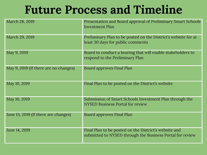#### **Future Process and Timeline**

| March 28, 2019                        | Presentation and Board approval of Preliminary Smart Schools<br><b>Investment Plan</b>                             |
|---------------------------------------|--------------------------------------------------------------------------------------------------------------------|
| March 29, 2019                        | Preliminary Plan to be posted on the District's website for at<br>least 30 days for public comments                |
| May 9, 2019                           | Board to conduct a hearing that will enable stakeholders to<br>respond to the Preliminary Plan                     |
| May 9, 2019 (If there are no changes) | <b>Board approves Final Plan</b>                                                                                   |
| May 10, 2019                          | Final Plan to be posted on the District's website                                                                  |
| May 10, 2019                          | Submission of Smart Schools Investment Plan through the<br><b>NYSED Business Portal for review</b>                 |
| June 13, 2019 (If there are changes)  | <b>Board approves Final Plan</b>                                                                                   |
| June 14, 2019                         | Final Plan to be posted on the District's website and<br>submitted to NYSED through the Business Portal for review |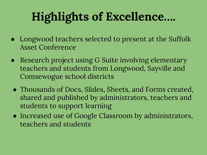## **Highlights of Excellence….**

- Longwood teachers selected to present at the Suffolk Asset Conference
- Research project using G Suite involving elementary teachers and students from Longwood, Sayville and Comsewogue school districts
- Thousands of Docs, Slides, Sheets, and Forms created, shared and published by administrators, teachers and students to support learning
- Increased use of Google Classroom by administrators, teachers and students